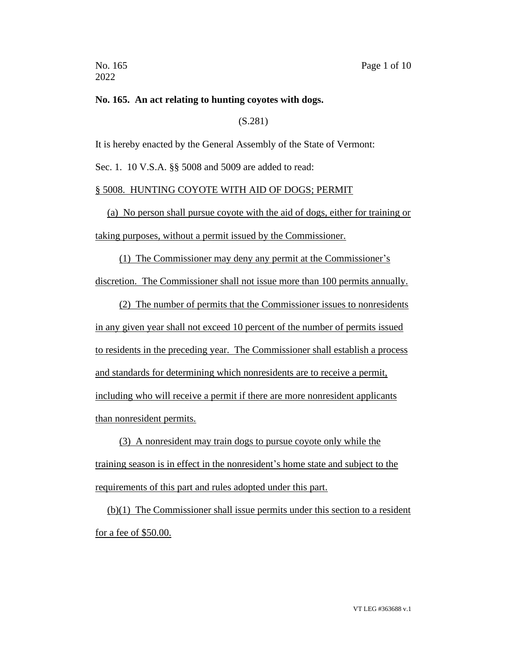## **No. 165. An act relating to hunting coyotes with dogs.**

(S.281)

It is hereby enacted by the General Assembly of the State of Vermont:

Sec. 1. 10 V.S.A. §§ 5008 and 5009 are added to read:

## § 5008. HUNTING COYOTE WITH AID OF DOGS; PERMIT

(a) No person shall pursue coyote with the aid of dogs, either for training or taking purposes, without a permit issued by the Commissioner.

(1) The Commissioner may deny any permit at the Commissioner's discretion. The Commissioner shall not issue more than 100 permits annually.

(2) The number of permits that the Commissioner issues to nonresidents in any given year shall not exceed 10 percent of the number of permits issued to residents in the preceding year. The Commissioner shall establish a process and standards for determining which nonresidents are to receive a permit, including who will receive a permit if there are more nonresident applicants than nonresident permits.

(3) A nonresident may train dogs to pursue coyote only while the training season is in effect in the nonresident's home state and subject to the requirements of this part and rules adopted under this part.

(b)(1) The Commissioner shall issue permits under this section to a resident for a fee of \$50.00.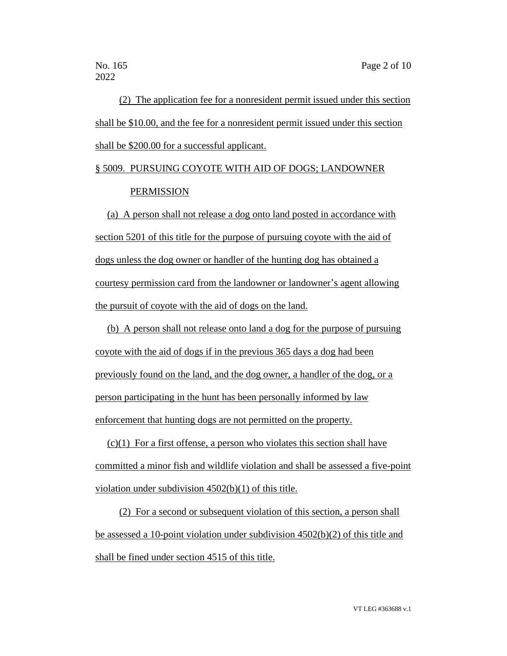(2) The application fee for a nonresident permit issued under this section shall be \$10.00, and the fee for a nonresident permit issued under this section shall be \$200.00 for a successful applicant.

# § 5009. PURSUING COYOTE WITH AID OF DOGS; LANDOWNER PERMISSION

(a) A person shall not release a dog onto land posted in accordance with section 5201 of this title for the purpose of pursuing coyote with the aid of dogs unless the dog owner or handler of the hunting dog has obtained a courtesy permission card from the landowner or landowner's agent allowing the pursuit of coyote with the aid of dogs on the land.

(b) A person shall not release onto land a dog for the purpose of pursuing coyote with the aid of dogs if in the previous 365 days a dog had been previously found on the land, and the dog owner, a handler of the dog, or a person participating in the hunt has been personally informed by law enforcement that hunting dogs are not permitted on the property.

 $(c)(1)$  For a first offense, a person who violates this section shall have committed a minor fish and wildlife violation and shall be assessed a five-point violation under subdivision 4502(b)(1) of this title.

(2) For a second or subsequent violation of this section, a person shall be assessed a 10-point violation under subdivision 4502(b)(2) of this title and shall be fined under section 4515 of this title.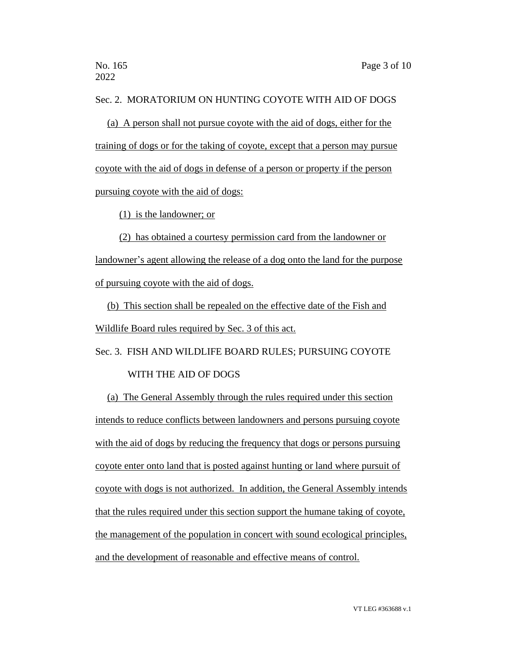# Sec. 2. MORATORIUM ON HUNTING COYOTE WITH AID OF DOGS

(a) A person shall not pursue coyote with the aid of dogs, either for the training of dogs or for the taking of coyote, except that a person may pursue coyote with the aid of dogs in defense of a person or property if the person pursuing coyote with the aid of dogs:

(1) is the landowner; or

(2) has obtained a courtesy permission card from the landowner or landowner's agent allowing the release of a dog onto the land for the purpose of pursuing coyote with the aid of dogs.

(b) This section shall be repealed on the effective date of the Fish and Wildlife Board rules required by Sec. 3 of this act.

Sec. 3. FISH AND WILDLIFE BOARD RULES; PURSUING COYOTE

# WITH THE AID OF DOGS

(a) The General Assembly through the rules required under this section intends to reduce conflicts between landowners and persons pursuing coyote with the aid of dogs by reducing the frequency that dogs or persons pursuing coyote enter onto land that is posted against hunting or land where pursuit of coyote with dogs is not authorized. In addition, the General Assembly intends that the rules required under this section support the humane taking of coyote, the management of the population in concert with sound ecological principles, and the development of reasonable and effective means of control.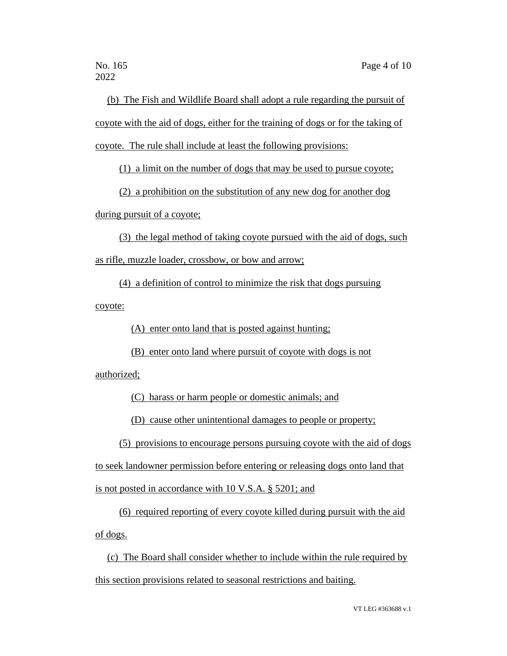2022

(b) The Fish and Wildlife Board shall adopt a rule regarding the pursuit of coyote with the aid of dogs, either for the training of dogs or for the taking of coyote. The rule shall include at least the following provisions:

(1) a limit on the number of dogs that may be used to pursue coyote;

(2) a prohibition on the substitution of any new dog for another dog during pursuit of a coyote;

(3) the legal method of taking coyote pursued with the aid of dogs, such as rifle, muzzle loader, crossbow, or bow and arrow;

(4) a definition of control to minimize the risk that dogs pursuing coyote:

(A) enter onto land that is posted against hunting;

(B) enter onto land where pursuit of coyote with dogs is not

authorized;

(C) harass or harm people or domestic animals; and

(D) cause other unintentional damages to people or property;

(5) provisions to encourage persons pursuing coyote with the aid of dogs

to seek landowner permission before entering or releasing dogs onto land that

is not posted in accordance with 10 V.S.A. § 5201; and

(6) required reporting of every coyote killed during pursuit with the aid of dogs.

(c) The Board shall consider whether to include within the rule required by this section provisions related to seasonal restrictions and baiting.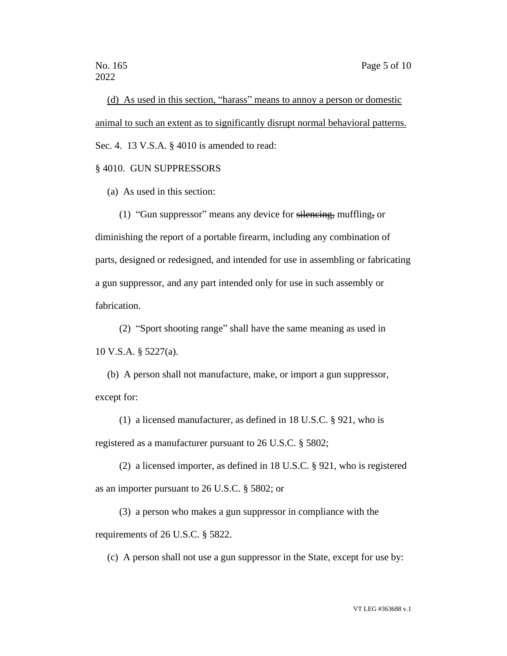(d) As used in this section, "harass" means to annoy a person or domestic animal to such an extent as to significantly disrupt normal behavioral patterns. Sec. 4. 13 V.S.A. § 4010 is amended to read:

# § 4010. GUN SUPPRESSORS

(a) As used in this section:

(1) "Gun suppressor" means any device for silencing, muffling, or diminishing the report of a portable firearm, including any combination of parts, designed or redesigned, and intended for use in assembling or fabricating a gun suppressor, and any part intended only for use in such assembly or fabrication.

(2) "Sport shooting range" shall have the same meaning as used in 10 V.S.A. § 5227(a).

(b) A person shall not manufacture, make, or import a gun suppressor, except for:

(1) a licensed manufacturer, as defined in 18 U.S.C. § 921, who is registered as a manufacturer pursuant to 26 U.S.C. § 5802;

(2) a licensed importer, as defined in 18 U.S.C. § 921, who is registered as an importer pursuant to 26 U.S.C. § 5802; or

(3) a person who makes a gun suppressor in compliance with the requirements of 26 U.S.C. § 5822.

(c) A person shall not use a gun suppressor in the State, except for use by: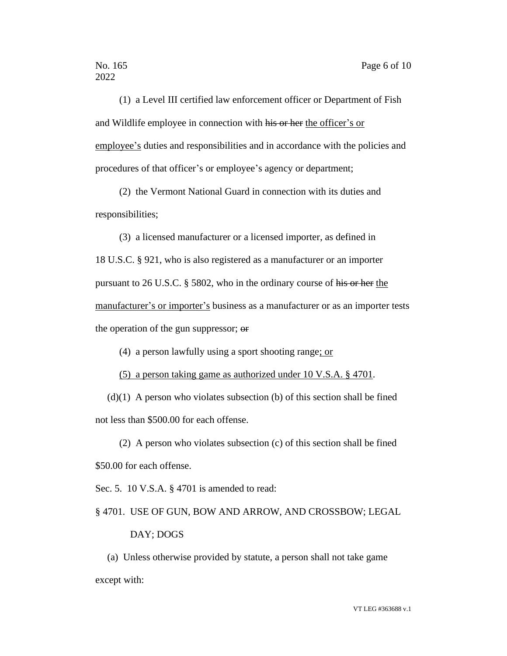(1) a Level III certified law enforcement officer or Department of Fish and Wildlife employee in connection with his or her the officer's or employee's duties and responsibilities and in accordance with the policies and procedures of that officer's or employee's agency or department;

(2) the Vermont National Guard in connection with its duties and responsibilities;

(3) a licensed manufacturer or a licensed importer, as defined in 18 U.S.C. § 921, who is also registered as a manufacturer or an importer pursuant to 26 U.S.C. § 5802, who in the ordinary course of his or her the manufacturer's or importer's business as a manufacturer or as an importer tests the operation of the gun suppressor; or

(4) a person lawfully using a sport shooting range; or

(5) a person taking game as authorized under 10 V.S.A. § 4701.

 $(d)(1)$  A person who violates subsection (b) of this section shall be fined not less than \$500.00 for each offense.

(2) A person who violates subsection (c) of this section shall be fined \$50.00 for each offense.

Sec. 5. 10 V.S.A. § 4701 is amended to read:

§ 4701. USE OF GUN, BOW AND ARROW, AND CROSSBOW; LEGAL

#### DAY; DOGS

(a) Unless otherwise provided by statute, a person shall not take game except with: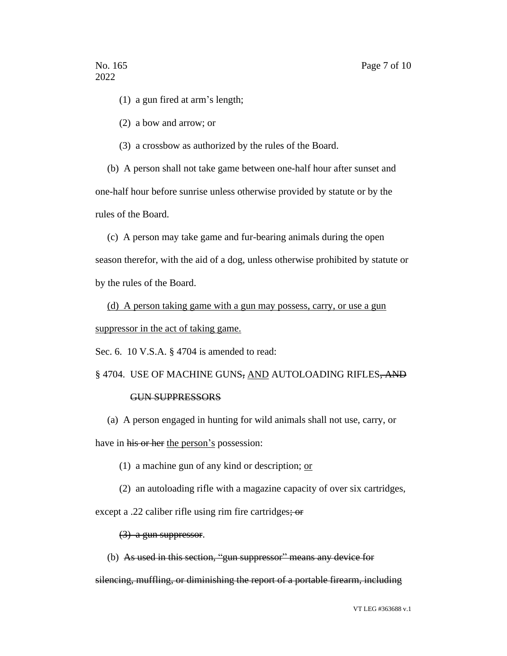(1) a gun fired at arm's length;

(2) a bow and arrow; or

(3) a crossbow as authorized by the rules of the Board.

(b) A person shall not take game between one-half hour after sunset and one-half hour before sunrise unless otherwise provided by statute or by the rules of the Board.

(c) A person may take game and fur-bearing animals during the open

season therefor, with the aid of a dog, unless otherwise prohibited by statute or by the rules of the Board.

(d) A person taking game with a gun may possess, carry, or use a gun suppressor in the act of taking game.

Sec. 6. 10 V.S.A. § 4704 is amended to read:

# § 4704. USE OF MACHINE GUNS, AND AUTOLOADING RIFLES, AND

#### GUN SUPPRESSORS

(a) A person engaged in hunting for wild animals shall not use, carry, or have in his or her the person's possession:

- (1) a machine gun of any kind or description;  $or$
- (2) an autoloading rifle with a magazine capacity of over six cartridges,

except a .22 caliber rifle using rim fire cartridges; or

#### (3) a gun suppressor.

(b) As used in this section, "gun suppressor" means any device for

silencing, muffling, or diminishing the report of a portable firearm, including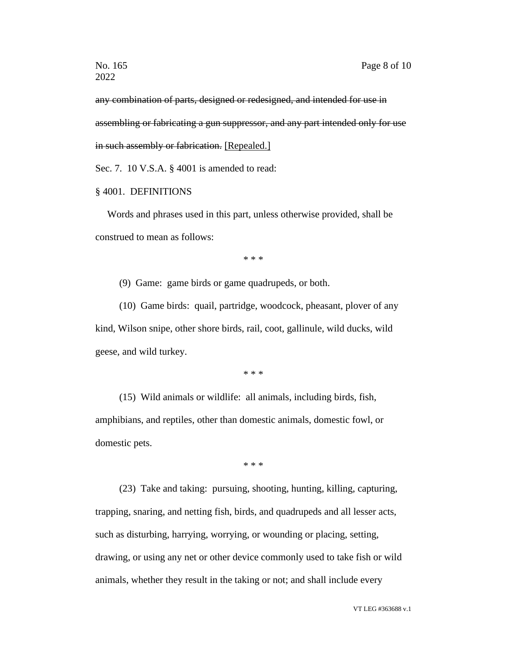any combination of parts, designed or redesigned, and intended for use in assembling or fabricating a gun suppressor, and any part intended only for use in such assembly or fabrication. [Repealed.]

Sec. 7. 10 V.S.A. § 4001 is amended to read:

## § 4001. DEFINITIONS

Words and phrases used in this part, unless otherwise provided, shall be construed to mean as follows:

\* \* \*

(9) Game: game birds or game quadrupeds, or both.

(10) Game birds: quail, partridge, woodcock, pheasant, plover of any kind, Wilson snipe, other shore birds, rail, coot, gallinule, wild ducks, wild geese, and wild turkey.

\* \* \*

(15) Wild animals or wildlife: all animals, including birds, fish, amphibians, and reptiles, other than domestic animals, domestic fowl, or domestic pets.

\* \* \*

(23) Take and taking: pursuing, shooting, hunting, killing, capturing, trapping, snaring, and netting fish, birds, and quadrupeds and all lesser acts, such as disturbing, harrying, worrying, or wounding or placing, setting, drawing, or using any net or other device commonly used to take fish or wild animals, whether they result in the taking or not; and shall include every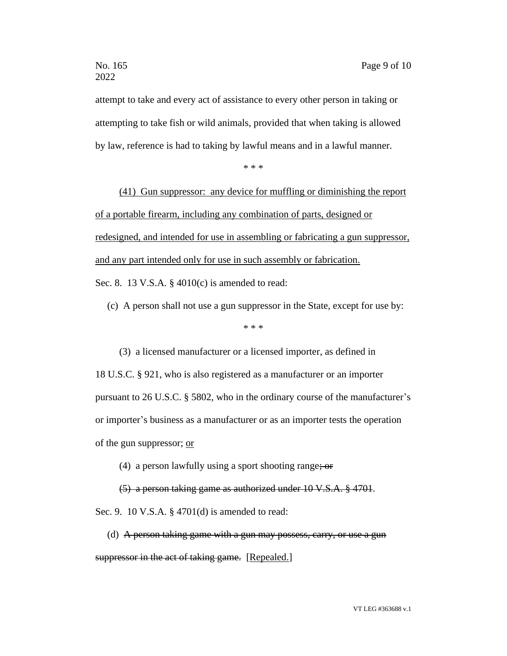attempt to take and every act of assistance to every other person in taking or attempting to take fish or wild animals, provided that when taking is allowed by law, reference is had to taking by lawful means and in a lawful manner.

\* \* \*

(41) Gun suppressor: any device for muffling or diminishing the report of a portable firearm, including any combination of parts, designed or redesigned, and intended for use in assembling or fabricating a gun suppressor, and any part intended only for use in such assembly or fabrication. Sec. 8. 13 V.S.A. § 4010(c) is amended to read:

(c) A person shall not use a gun suppressor in the State, except for use by:

\* \* \*

(3) a licensed manufacturer or a licensed importer, as defined in 18 U.S.C. § 921, who is also registered as a manufacturer or an importer pursuant to 26 U.S.C. § 5802, who in the ordinary course of the manufacturer's or importer's business as a manufacturer or as an importer tests the operation of the gun suppressor; or

(4) a person lawfully using a sport shooting range;  $\sigma$ 

(5) a person taking game as authorized under 10 V.S.A. § 4701. Sec. 9. 10 V.S.A. § 4701(d) is amended to read:

(d) A person taking game with a gun may possess, carry, or use a gun suppressor in the act of taking game. [Repealed.]